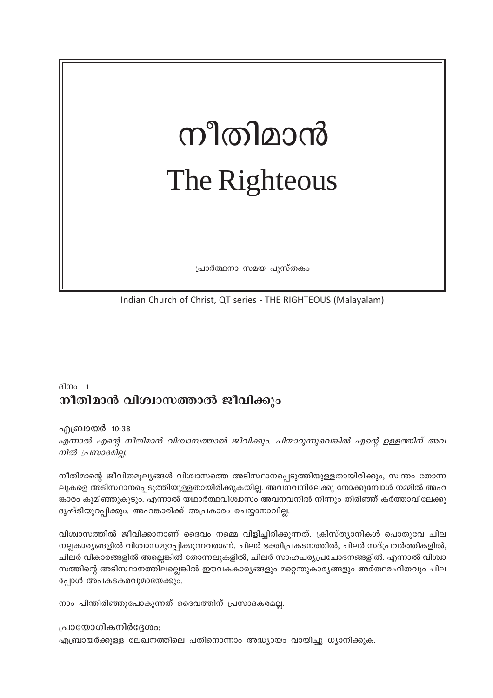# നീതിമാൻ The Righteous

പ്രാർത്ഥനാ സമയ പുസ്തകം

Indian Church of Christ, QT series - THE RIGHTEOUS (Malayalam)

# ദിനം 1 നീതിമാൻ വിശ്വാസത്താൽ ജീവിക്കും

എബ്രായർ 10:38

എന്നാൽ എന്റെ നീതിമാൻ വിശ്വാസത്താൽ ജീവിക്കും. പിന്മാറുന്നുവെങ്കിൽ എന്റെ ഉള്ളത്തിന് അവ നിൽ പ്രസാദമില്ല.

നീതിമാന്റെ ജീവിതമൂല്യങ്ങൾ വിശ്വാസത്തെ അടിസ്ഥാനപ്പെടുത്തിയുള്ളതായിരിക്കും, സ്വന്തം തോന്ന ലുകളെ അടിസ്ഥാനപ്പെടുത്തിയുള്ളതായിരിക്കുകയില്ല. അവനവനിലേക്കു നോക്കുമ്പോൾ നമ്മിൽ അഹ ങ്കാരം കുമിഞ്ഞുകൂടും. എന്നാൽ യഥാർത്ഥവിശ്വാസം അവനവനിൽ നിന്നും തിരിഞ്ഞ് കർത്താവിലേക്കു ദൃഷ്ടിയുറപ്പിക്കും. അഹങ്കാരിക്ക് അപ്രകാരം ചെയ്യാനാവില്ല.

വിശ്വാസത്തിൽ ജീവിക്കാനാണ് ദൈവം നമ്മെ വിളിച്ചിരിക്കുന്നത്. ക്രിസ്ത്യാനികൾ പൊതുവേ ചില നല്ലകാര്യങ്ങളിൽ വിശ്വാസമുറപ്പിക്കുന്നവരാണ്. ചിലർ ഭക്തിപ്രകടനത്തിൽ, ചിലർ സദ്പ്രവർത്തികളിൽ, ചിലർ വികാരങ്ങളിൽ അല്ലെങ്കിൽ തോന്നലുകളിൽ, ചിലർ സാഹചര്യപ്രചോദനങ്ങളിൽ. എന്നാൽ വിശ്വാ സത്തിന്റെ അടിസ്ഥാനത്തിലല്ലെങ്കിൽ ഈവകകാര്യങ്ങളും മറ്റെന്തുകാര്യങ്ങളും അർത്ഥരഹിതവും ചില പ്പോൾ അപകടകരവുമായേക്കും.

നാം പിന്തിരിഞ്ഞുപോകുന്നത് ദൈവത്തിന് പ്രസാദകരമല്ല.

പ്രായോഗികനിർദ്ദേശം:

എബ്രായർക്കുള്ള ലേഖനത്തിലെ പതിനൊന്നാം അദ്ധ്യായം വായിച്ചു ധ്യാനിക്കുക.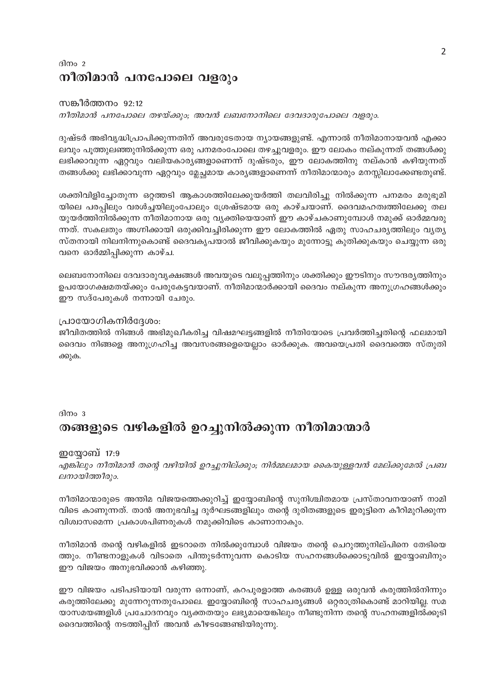### ദിനം 2 നീതിമാൻ പനപോലെ വളരും

#### സങ്കീർത്തനം 92:12 നീതിമാൻ പനപോലെ തഴയ്ക്കും; അവൻ ലബനോനിലെ ദേവദാരുപോലെ വളരും.

ദുഷ്ടർ അഭിവൃദ്ധിപ്രാപിക്കുന്നതിന് അവരുടേതായ ന്യായങ്ങളുണ്ട്. എന്നാൽ നീതിമാനായവൻ എക്കാ ലവും പൂത്തുലഞ്ഞുനിൽക്കുന്ന ഒരു പനമരംപോലെ തഴച്ചുവളരും. ഈ ലോകം നല്കുന്നത് തങ്ങൾക്കു ലഭിക്കാവുന്ന ഏറ്റവും വലിയകാര്യങ്ങളാണെന്ന് ദുഷ്ടരും, ഈ ലോകത്തിനു നല്കാൻ കഴിയുന്നത് തങ്ങൾക്കു ലഭിക്കാവുന്ന ഏറ്റവും മ്ലേച്ഛമായ കാര്യങ്ങളാണെന്ന് നീതിമാന്മാരും മനസ്സിലാക്കേണ്ടതുണ്ട്.

ശക്തിവിളിച്ചോതുന്ന ഒറ്റത്തടി ആകാശത്തിലേക്കുയർത്തി തലവിരിച്ചു നിൽക്കുന്ന പനമരം മരുഭൂമി യിലെ പരപ്പിലും വരൾച്ചയിലുംപോലും ശ്രേഷ്ടമായ ഒരു കാഴ്ചയാണ്. ദൈവമഹത്വത്തിലേക്കു തല യുയർത്തിനിൽക്കുന്ന നീതിമാനായ ഒരു വ്യക്തിയെയാണ് ഈ കാഴ്ചകാണുമ്പോൾ നമുക്ക് ഓർമ്മവരു ന്നത്. സകലതും അഗ്നിക്കായി ഒരുക്കിവച്ചിരിക്കുന്ന ഈ ലോകത്തിൽ ഏതു സാഹചര്യത്തിലും വ്യത്യ സ്തനായി നിലനിന്നുകൊണ്ട് ദൈവകൃപയാൽ ജീവിക്കുകയും മുന്നോട്ടു കുതിക്കുകയും ചെയ്യുന്ന ഒരു വനെ ഓർമ്മിപ്പിക്കുന്ന കാഴ്ച.

ലെബനോനിലെ ദേവദാരുവൃക്ഷങ്ങൾ അവയുടെ വലുപ്പത്തിനും ശക്തിക്കും ഈടിനും സൗന്ദര്യത്തിനും ഉപയോഗക്ഷമതയ്ക്കും പേരുകേട്ടവയാണ്. നീതിമാന്മാർക്കായി ദൈവം നല്കുന്ന അനുഗ്രഹങ്ങൾക്കും ഈ സദ്പേരുകൾ നന്നായി ചേരും.

#### പ്രായോഗികനിർദ്ദേശം:

ജീവിതത്തിൽ നിങ്ങൾ അഭിമുഖീകരിച്ച വിഷമഘട്ടങ്ങളിൽ നീതിയോടെ പ്രവർത്തിച്ചതിന്റെ ഫലമായി ദൈവം നിങ്ങളെ അനുഗ്രഹിച്ച അവസരങ്ങളെയെല്ലാം ഓർക്കുക. അവയെപ്രതി ദൈവത്തെ സ്തുതി ക്കുക.

#### ദിനം  $3$

# തങ്ങളുടെ വഴികളിൽ ഉറച്ചുനിൽക്കുന്ന നീതിമാന്മാർ

#### ഇയ്യോബ് 17:9

എങ്കിലും നീതിമാൻ തന്റെ വഴിയിൽ ഉറച്ചുനില്ക്കും; നിർമ്മലമായ കൈയുള്ളവൻ മേല്ക്കുമേൽ പ്രബ ലനായിത്തീരും.

നീതിമാന്മാരുടെ അന്തിമ വിജയത്തെക്കുറിച്ച് ഇയ്യോബിന്റെ സുനിശ്ചിതമായ പ്രസ്താവനയാണ് നാമി വിടെ കാണുന്നത്. താൻ അനുഭവിച്ച ദുർഘടങ്ങളിലും തന്റെ ദുരിതങ്ങളുടെ ഇരുട്ടിനെ കീറിമുറിക്കുന്ന വിശ്വാസമെന്ന പ്രകാശപിണരുകൾ നമുക്കിവിടെ കാണാനാകും.

നീതിമാൻ തന്റെ വഴികളിൽ ഇടറാതെ നിൽക്കുമ്പോൾ വിജയം തന്റെ ചെറുത്തുനില്പിനെ തേടിയെ ത്തും. നീണ്ടനാളുകൾ വിടാതെ പിന്തുടർന്നുവന്ന കൊടിയ സഹനങ്ങൾക്കൊടുവിൽ ഇയ്യോബിനും ഈ വിജയം അനുഭവിക്കാൻ കഴിഞ്ഞു.

ഈ വിജയം പടിപടിയായി വരുന്ന ഒന്നാണ്, കറപുരളാത്ത കരങ്ങൾ ഉള്ള ഒരുവൻ കരുത്തിൽനിന്നും കരുത്തിലേക്കു മുന്നേറുന്നതുപോലെ. ഇയ്യോബിന്റെ സാഹചര്യങ്ങൾ ഒറ്റരാത്രികൊണ്ട് മാറിയില്ല. സമ യാസമയങ്ങളിൾ പ്രചോദനവും വ്യക്തതയും ലഭ്യമായെങ്കിലും നീണ്ടുനിന്ന തന്റെ സഹനങ്ങളിൽക്കൂടി ദൈവത്തിന്റെ നടത്തിപ്പിന് അവൻ കീഴടങ്ങേണ്ടിയിരുന്നു.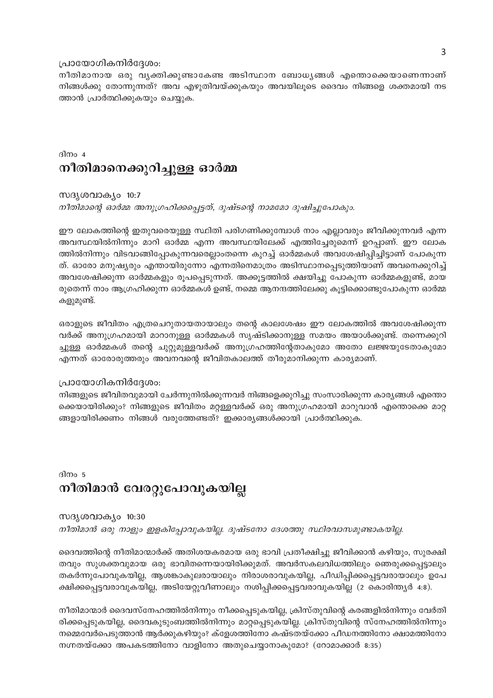#### പ്രായോഗികനിർദ്ദേശം:

നീതിമാനായ ഒരു വൃക്തിക്കുണ്ടാകേണ്ട അടിസ്ഥാന ബോധൃങ്ങൾ എന്തൊക്കെയാണെന്നാണ് നിങ്ങൾക്കു തോന്നുന്നത്? അവ എഴുതിവയ്ക്കുകയും അവയിലൂടെ ദൈവം നിങ്ങളെ ശക്തമായി നട ത്താൻ പ്രാർത്ഥിക്കുകയും ചെയ്യുക.

### ദിനം  $4$ നീതിമാനെക്കുറിച്ചുള്ള ഓർമ്മ

സദൃശവാക്യം 10:7 നീതിമാന്റെ ഓർമ്മ അനുഗ്രഹിക്കപ്പെട്ടത്, ദുഷ്ടന്റെ നാമമോ ദുഷിച്ചുപോകും.

ഈ ലോകത്തിന്റെ ഇതുവരെയുള്ള സ്ഥിതി പരിഗണിക്കുമ്പോൾ നാം എല്ലാവരും ജീവിക്കുന്നവർ എന്ന അവസ്ഥയിൽനിന്നും മാറി ഓർമ്മ എന്ന അവസ്ഥയിലേക്ക് എത്തിച്ചേരുമെന്ന് ഉറപ്പാണ്. ഈ ലോക ത്തിൽനിന്നും വിടവാങ്ങിപ്പോകുന്നവരെല്ലാംതന്നെ കുറച്ച് ഓർമ്മകൾ അവശേഷിപ്പിച്ചിട്ടാണ് പോകുന്ന ത്. ഓരോ മനുഷ്യരും എന്തായിരുന്നോ എന്നതിനെമാത്രം അടിസ്ഥാനപ്പെടുത്തിയാണ് അവനെക്കുറിച്ച് അവശേഷിക്കുന്ന ഓർമ്മകളും രൂപപ്പെടുന്നത്. അക്കൂട്ടത്തിൽ ക്ഷയിച്ചു പോകുന്ന ഓർമ്മകളുണ്ട്, മായ രുതെന്ന് നാം ആഗ്രഹിക്കുന്ന ഓർമ്മകൾ ഉണ്ട്, നമ്മെ ആനന്ദത്തിലേക്കു കൂട്ടിക്കൊണ്ടുപോകുന്ന ഓർമ്മ കളുമുണ്ട്.

ഒരാളുടെ ജീവിതം എത്രചെറുതായതായാലും തന്റെ കാലശേഷം ഈ ലോകത്തിൽ അവശേഷിക്കുന്ന വർക്ക് അനുഗ്രഹമായി മാറാനുള്ള ഓർമ്മകൾ സൃഷ്ടിക്കാനുള്ള സമയം അയാൾക്കുണ്ട്. തന്നെക്കുറി ച്ചുള്ള ഓർമ്മകൾ തന്റെ ചുറ്റുമുള്ളവർക്ക് അനുഗ്രഹത്തിന്റേതാകുമോ അതോ ലജ്ജയുടേതാകുമോ എന്നത് ഓരോരുത്തരും അവനവന്റെ ജീവിതകാലത്ത് തീരുമാനിക്കുന്ന കാര്യമാണ്.

#### പ്രായോഗികനിർദ്ദേശം:

നിങ്ങളുടെ ജീവിതവുമായി ചേർന്നുനിൽക്കുന്നവർ നിങ്ങളെക്കുറിച്ചു സംസാരിക്കുന്ന കാര്യങ്ങൾ എന്തൊ ക്കെയായിരിക്കും? നിങ്ങളുടെ ജീവിതം മറ്റള്ളവർക്ക് ഒരു അനുഗ്രഹമായി മാറുവാൻ എന്തൊക്കെ മാറ്റ ങ്ങളായിരിക്കണം നിങ്ങൾ വരുത്തേണ്ടത്? ഇക്കാര്യങ്ങൾക്കായി പ്രാർത്ഥിക്കുക.

# ദിനം 5 നീതിമാൻ വേരറ്റുപോവുകയില്ല

#### സദൃശവാക്യം 10:30

നീതിമാൻ ഒരു നാളും ഇളകിപ്പോവുകയില്ല. ദുഷ്ടനോ ദേശത്തു സ്ഥിരവാസമുണ്ടാകയില്ല.

ദൈവത്തിന്റെ നീതിമാന്മാർക്ക് അതിശയകരമായ ഒരു ഭാവി പ്രതീക്ഷിച്ചു ജീവിക്കാൻ കഴിയും, സുരക്ഷി തവും സുശക്തവുമായ ഒരു ഭാവിതന്നെയായിരിക്കുമത്. അവർസകലവിധത്തിലും ഞെരുക്കപ്പെട്ടാലും തകർന്നുപോവുകയില്ല, ആശങ്കാകുലരായാലും നിരാശരാവുകയില്ല, പീഡിപ്പിക്കപ്പെട്ടവരായാലും ഉപേ ക്ഷിക്കപ്പെട്ടവരാവുകയില്ല, അടിയേറ്റുവീണാലും നശിപ്പിക്കപ്പെട്ടവരാവുകയില്ല (2 കൊരിന്ത്യർ 4:8).

നീതിമാന്മാർ ദൈവസ്നേഹത്തിൽനിന്നും നീക്കപ്പെടുകയില്ല, ക്രിസ്തുവിന്റെ കരങ്ങളിൽനിന്നും വേർതി രിക്കപ്പെടുകയില്ല, ദൈവകുടുംബത്തിൽനിന്നും മാറ്റപ്പെടുകയില്ല. ക്രിസ്തുവിന്റെ സ്നേഹത്തിൽനിന്നും നമ്മെവേർപെടുത്താൻ ആർക്കുകഴിയും? ക്ളേശത്തിനോ കഷ്ടതയ്ക്കോ പീഡനത്തിനോ ക്ഷാമത്തിനോ നഗ്നതയ്ക്കോ അപകടത്തിനോ വാളിനോ അതുചെയ്യാനാകുമോ? (റോമാക്കാർ 8:35)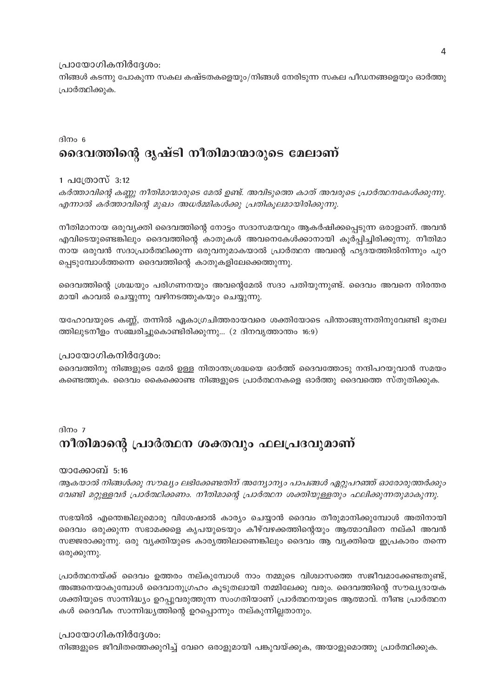#### പ്രായോഗികനിർദ്ദേശം:

നിങ്ങൾ കടന്നു പോകുന്ന സകല കഷ്ടതകളെയും/നിങ്ങൾ നേരിടുന്ന സകല പീഡനങ്ങളെയും ഓർത്തു പ്രാർത്ഥിക്കുക.

### ദിനം 6 ദൈവത്തിന്റെ ദൃഷ്ടി നീതിമാന്മാരുടെ മേലാണ്

#### 1 പത്രോസ് 3:12

കർത്താവിന്റെ കണ്ണു നീതിമാന്മാരുടെ മേൽ ഉണ്ട്. അവിടുത്തെ കാത് അവരുടെ പ്രാർത്ഥനകേൾക്കുന്നു. എന്നാൽ കർത്താവിന്റെ മുഖം അധർമ്മികൾക്കു പ്രതികൂലമായിരിക്കുന്നു.

നീതിമാനായ ഒരുവൃക്തി ദൈവത്തിന്റെ നോട്ടം സദാസമയവും ആകർഷിക്കപ്പെടുന്ന ഒരാളാണ്. അവൻ എവിടെയുണ്ടെങ്കിലും ദൈവത്തിന്റെ കാതുകൾ അവനെകേൾക്കാനായി കൂർപ്പിച്ചിരിക്കുന്നു. നീതിമാ നായ ഒരുവൻ സദാപ്രാർത്ഥിക്കുന്ന ഒരുവനുമാകയാൽ പ്രാർത്ഥന അവന്റെ ഹൃദയത്തിൽനിന്നും പുറ പ്പെടുമ്പോൾത്തന്നെ ദൈവത്തിന്റെ കാതുകളിലേക്കെത്തുന്നു.

ദൈവത്തിന്റെ ശ്രദ്ധയും പരിഗണനയും അവന്റെമേൽ സദാ പതിയുന്നുണ്ട്. ദൈവം അവനെ നിരന്തര മായി കാവൽ ചെയ്യുന്നു വഴിനടത്തുകയും ചെയ്യുന്നു.

യഹോവയുടെ കണ്ണ്, തന്നിൽ ഏകാഗ്രചിത്തരായവരെ ശക്തിയോടെ പിന്താങ്ങുന്നതിനുവേണ്ടി ഭൂതല ത്തിലുടനീളം സഞ്ചരിച്ചുകൊണ്ടിരിക്കുന്നു... (2 ദിനവൃത്താന്തം 16:9)

#### പ്രായോഗികനിർദ്ദേശം:

ദൈവത്തിനു നിങ്ങളുടെ മേൽ ഉള്ള നിതാന്തശ്രദ്ധയെ ഓർത്ത് ദൈവത്തോടു നന്ദിപറയുവാൻ സമയം കണ്ടെത്തുക. ദൈവം കൈക്കൊണ്ട നിങ്ങളുടെ പ്രാർത്ഥനകളെ ഓർത്തു ദൈവത്തെ സ്തുതിക്കുക.

# ദിനം 7 നീതിമാന്റെ പ്രാർത്ഥന ശക്തവും ഫലപ്രദവുമാണ്

#### യാക്കോബ് 5:16

ആകയാൽ നിങ്ങൾക്കു സൗഖ്യം ലഭിക്കേണ്ടതിന് അന്യോന്യം പാപങ്ങൾ ഏറ്റുപറഞ്ഞ് ഓരോരുത്തർക്കും വേണ്ടി മറ്റുള്ളവർ പ്രാർത്ഥിക്കണം. നീതിമാന്റെ പ്രാർത്ഥന ശക്തിയുള്ളതും ഫലിക്കുന്നതുമാകുന്നു.

സഭയിൽ എന്തെങ്കിലുമൊരു വിശേഷാൽ കാര്യം ചെയ്യാൻ ദൈവം തീരുമാനിക്കുമ്പോൾ അതിനായി ദൈവം ഒരുക്കുന്ന സഭാമക്കളെ കൃപയുടെയും കീഴ്വഴക്കത്തിന്റെയും ആത്മാവിനെ നല്കി അവൻ സജ്ജരാക്കുന്നു. ഒരു വൃക്തിയുടെ കാര്യത്തിലാണെങ്കിലും ദൈവം ആ വൃക്തിയെ ഇപ്രകാരം തന്നെ ഒരുക്കുന്നു.

പ്രാർത്ഥനയ്ക്ക് ദൈവം ഉത്തരം നല്കുമ്പോൾ നാം നമ്മുടെ വിശ്വാസത്തെ സജീവമാക്കേണ്ടതുണ്ട്, അങ്ങനെയാകുമ്പോൾ ദൈവാനുഗ്രഹം കൂടുതലായി നമ്മിലേക്കു വരും. ദൈവത്തിന്റെ സൗഖ്യദായക ശക്തിയുടെ സാന്നിദ്ധ്യം ഉറപ്പുവരുത്തുന്ന സംഗതിയാണ് പ്രാർത്ഥനയുടെ ആത്മാവ്. നീണ്ട പ്രാർത്ഥന കൾ ദൈവീക സാന്നിദ്ധ്യത്തിന്റെ ഉറപ്പൊന്നും നല്കുന്നില്ലതാനും.

#### പ്രായോഗികനിർദ്ദേശം:

നിങ്ങളുടെ ജീവിതത്തെക്കുറിച്ച് വേറെ ഒരാളുമായി പങ്കുവയ്ക്കുക, അയാളുമൊത്തു പ്രാർത്ഥിക്കുക.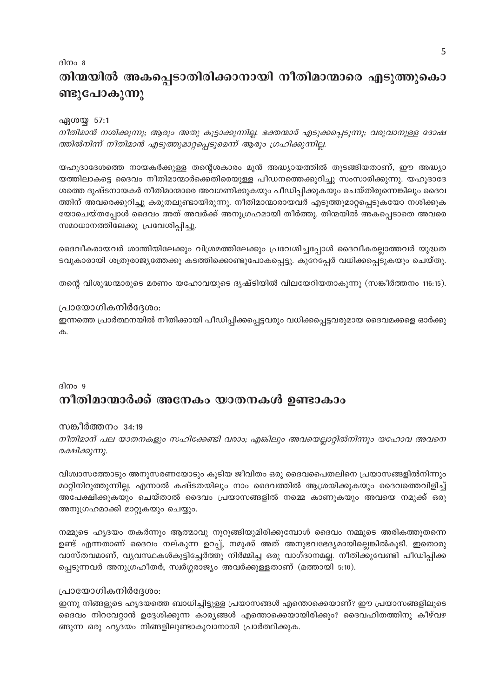# ദിനം 8 തിന്മയിൽ അകപ്പെടാതിരിക്കാനായി നീതിമാന്മാരെ എടുത്തുകൊ ണ്ടുപോകുന്നു

#### ഏശയ്യ 57:1

നീതിമാൻ നശിക്കുന്നു; ആരും അതു കൂട്ടാക്കുന്നില്ല. ഭക്തന്മാർ എടുക്കപ്പെടുന്നു; വരുവാനുള്ള ദോഷ ത്തിൽനിന്ന് നീതിമാൻ എടുത്തുമാറ്റപ്പെടുമെന്ന് ആരും ഗ്രഹിക്കുന്നില്ല.

യഹൂദാദേശത്തെ നായകർക്കുള്ള തന്റെശകാരം മുൻ അദ്ധ്യായത്തിൽ തുടങ്ങിയതാണ്, ഈ അദ്ധ്യാ യത്തിലാകട്ടെ ദൈവം നീതിമാന്മാർക്കെതിരെയുള്ള പീഡനത്തെക്കുറിച്ചു സംസാരിക്കുന്നു. യഹൂദാദേ ശത്തെ ദുഷ്ടനായകർ നീതിമാന്മാരെ അവഗണിക്കുകയും പീഡിപ്പിക്കുകയും ചെയ്തിരുന്നെങ്കിലും ദൈവ ത്തിന് അവരെക്കുറിച്ചു കരുതലുണ്ടായിരുന്നു. നീതിമാന്മാരായവർ എടുത്തുമാറ്റപ്പെടുകയോ നശിക്കുക യോചെയ്തപ്പോൾ ദൈവം അത് അവർക്ക് അനുഗ്രഹമായി തീർത്തു. തിന്മയിൽ അകപ്പെടാതെ അവരെ സമാധാനത്തിലേക്കു പ്രവേശിപ്പിച്ചു.

ദൈവീകരായവർ ശാന്തിയിലേക്കും വിശ്രമത്തിലേക്കും പ്രവേശിച്ചപ്പോൾ ദൈവീകരല്ലാത്തവർ യുദ്ധത ടവുകാരായി ശത്രുരാജ്യത്തേക്കു കടത്തിക്കൊണ്ടുപോകപ്പെട്ടു. കുറേപ്പേർ വധിക്കപ്പെടുകയും ചെയ്തു.

തന്റെ വിശുദ്ധന്മാരുടെ മരണം യഹോവയുടെ ദൃഷ്ടിയിൽ വിലയേറിയതാകുന്നു (സങ്കീർത്തനം 116:15).

#### പ്രായോഗികനിർദ്ദേശം:

ഇന്നത്തെ പ്രാർത്ഥനയിൽ നീതിക്കായി പീഡിപ്പിക്കപ്പെട്ടവരും വധിക്കപ്പെട്ടവരുമായ ദൈവമക്കളെ ഓർക്കു ക.

# ദിനം 9 നീതിമാന്മാർക്ക് അനേകം യാതനകൾ ഉണ്ടാകാം

സങ്കീർത്തനം 34:19

നീതിമാന് പല യാതനകളും സഹിക്കേണ്ടി വരാം; എങ്കിലും അവയെല്ലാറ്റിൽനിന്നും യഹോവ അവനെ രക്ഷിക്കുന്നു.

വിശ്വാസത്തോടും അനുസരണയോടും കൂടിയ ജീവിതം ഒരു ദൈവപൈതലിനെ പ്രയാസങ്ങളിൽനിന്നും മാറ്റിനിറുത്തുന്നില്ല. എന്നാൽ കഷ്ടതയിലും നാം ദൈവത്തിൽ ആശ്രയിക്കുകയും ദൈവത്തെവിളിച്ച് അപേക്ഷിക്കുകയും ചെയ്താൽ ദൈവം പ്രയാസങ്ങളിൽ നമ്മെ കാണുകയും അവയെ നമുക്ക് ഒരു അനുഗ്രഹമാക്കി മാറ്റുകയും ചെയ്യും.

നമ്മുടെ ഹൃദയം തകർന്നും ആത്മാവു നുറുങ്ങിയുമിരിക്കുമ്പോൾ ദൈവം നമ്മുടെ അരികത്തുതന്നെ ഉണ്ട് എന്നതാണ് ദൈവം നല്കുന്ന ഉറപ്പ്, നമുക്ക് അത് അനുഭവഭേദ്യമായില്ലെങ്കിൽകൂടി. ഇതൊരു വാസ്തവമാണ്, വ്യവസ്ഥകൾകൂട്ടിച്ചേർത്തു നിർമ്മിച്ച ഒരു വാഗ്ദാനമല്ല. നീതിക്കുവേണ്ടി പീഡിപ്പിക്ക പ്പെടുന്നവർ അനുഗ്രഹീതർ; സ്വർഗ്ഗരാജ്യം അവർക്കുള്ളതാണ് (മത്തായി 5:10).

#### പ്രായോഗികനിർദ്ദേശം:

ഇന്നു നിങ്ങളുടെ ഹൃദയത്തെ ബാധിച്ചിട്ടുള്ള പ്രയാസങ്ങൾ എന്തൊക്കെയാണ്? ഈ പ്രയാസങ്ങളിലൂടെ ദൈവം നിറവേറ്റാൻ ഉദ്ദേശിക്കുന്ന കാര്യങ്ങൾ എന്തൊക്കെയായിരിക്കും? ദൈവഹിതത്തിനു കീഴ്വഴ ങ്ങുന്ന ഒരു ഹൃദയം നിങ്ങളിലുണ്ടാകുവാനായി പ്രാർത്ഥിക്കുക.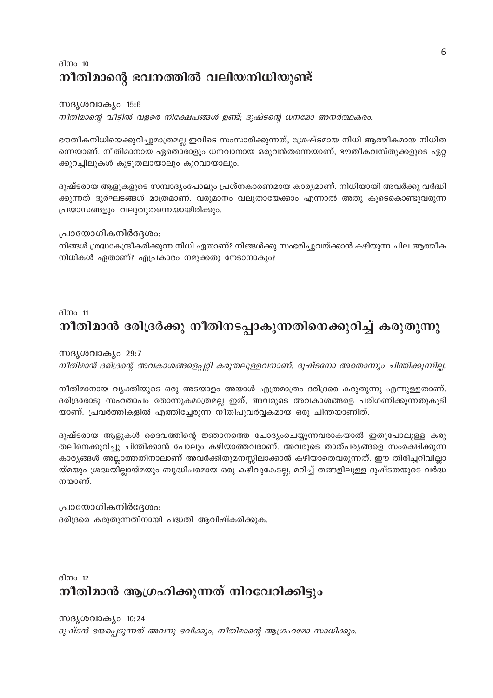# ദിനം  $10$ നീതിമാന്റെ ഭവനത്തിൽ വലിയനിധിയുണ്ട്

#### സദൃശവാക്യം 15:6

നീതിമാന്റെ വീട്ടിൽ വളരെ നിക്ഷേപങ്ങൾ ഉണ്ട്; ദുഷ്ടന്റെ ധനമോ അനർത്ഥകരം.

ഭൗതീകനിധിയെക്കുറിച്ചുമാത്രമല്ല ഇവിടെ സംസാരിക്കുന്നത്, ശ്രേഷ്ടമായ നിധി ആത്മീകമായ നിധിത ന്നെയാണ്. നീതിമാനായ ഏതൊരാളും ധനവാനായ ഒരുവൻതന്നെയാണ്, ഭൗതീകവസ്തുക്കളുടെ ഏറ്റ ക്കുറച്ചിലുകൾ കൂടുതലായാലും കുറവായാലും.

ദുഷ്ടരായ ആളുകളുടെ സമ്പാദ്യംപോലും പ്രശ്നകാരണമായ കാര്യമാണ്. നിധിയായി അവർക്കു വർദ്ധി ക്കുന്നത് ദുർഘടങ്ങൾ മാത്രമാണ്. വരുമാനം വലുതായേക്കാം എന്നാൽ അതു കൂടെകൊണ്ടുവരുന്ന പ്രയാസങ്ങളും വലുതുതന്നെയായിരിക്കും.

#### പ്രായോഗികനിർദ്ദേശം:

നിങ്ങൾ ശ്രദ്ധകേന്ദ്രീകരിക്കുന്ന നിധി ഏതാണ്? നിങ്ങൾക്കു സംഭരിച്ചുവയ്ക്കാൻ കഴിയുന്ന ചില ആത്മീക നിധികൾ ഏതാണ്? എപ്രകാരം നമുക്കതു നേടാനാകും?

#### ദിനം  $11$

# നീതിമാൻ ദരിദ്രർക്കു നീതിനടപ്പാകുന്നതിനെക്കുറിച്ച് കരുതുന്നു

#### സദൃശവാക്യം 29:7

നീതിമാൻ ദരിദ്രന്റെ അവകാശങ്ങളെപ്പറ്റി കരുതലുള്ളവനാണ്; ദുഷ്ടനോ അതൊന്നും ചിന്തിക്കുന്നില്ല.

നീതിമാനായ വ്യക്തിയുടെ ഒരു അടയാളം അയാൾ എത്രമാത്രം ദരിദ്രരെ കരുതുന്നു എന്നുള്ളതാണ്. ദരിദ്രരോടു സഹതാപം തോന്നുകമാത്രമല്ല ഇത്, അവരുടെ അവകാശങ്ങളെ പരിഗണിക്കുന്നതുകൂടി യാണ്. പ്രവർത്തികളിൽ എത്തിച്ചേരുന്ന നീതിപൂവർവ്വകമായ ഒരു ചിന്തയാണിത്.

ദുഷ്ടരായ ആളുകൾ ദൈവത്തിന്റെ ജ്ഞാനത്തെ ചോദ്യംചെയ്യുന്നവരാകയാൽ ഇതുപോലുള്ള കരു തലിനെക്കുറിച്ചു ചിന്തിക്കാൻ പോലും കഴിയാത്തവരാണ്. അവരുടെ താത്പര്യങ്ങളെ സംരക്ഷിക്കുന്ന കാര്യങ്ങൾ അല്ലാത്തതിനാലാണ് അവർക്കിതുമനസ്സിലാക്കാൻ കഴിയാതെവരുന്നത്. ഈ തിരിച്ചറിവില്ലാ യ്മയും ശ്രദ്ധയില്ലായ്മയും ബുദ്ധിപരമായ ഒരു കഴിവുകേടല്ല, മറിച്ച് തങ്ങളിലുള്ള ദുഷ്ടതയുടെ വർദ്ധ നയാണ്.

പ്രായോഗികനിർദ്ദേശം: ദരിദ്രരെ കരുതുന്നതിനായി പദ്ധതി ആവിഷ്കരിക്കുക.

 $\frac{\text{d}}{\text{d}}$  12

# നീതിമാൻ ആഗ്രഹിക്കുന്നത് നിറവേറിക്കിട്ടും

സദൃശവാക്യം 10:24 ദുഷ്ടൻ ഭയപ്പെടുന്നത് അവനു ഭവിക്കും, നീതിമാന്റെ ആഗ്രഹമോ സാധിക്കും.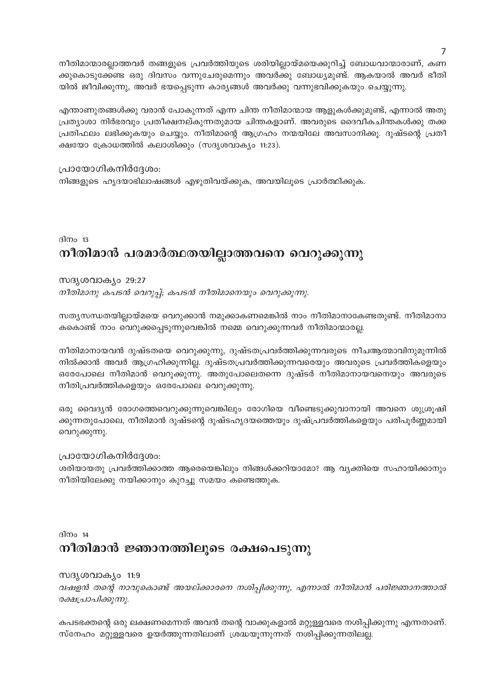നീതിമാന്മാരല്ലാത്തവർ തങ്ങളുടെ പ്രവർത്തിയുടെ ശരിയില്ലായ്മയെക്കുറിച്ച് ബോധവാന്മാരാണ്, കണ ക്കുകൊടുക്കേണ്ട ഒരു ദിവസം വന്നുചേരുമെന്നും അവർക്കു ബോധ്യമുണ്ട്. ആകയാൽ അവർ ഭീതി യിൽ ജീവിക്കുന്നു, അവർ ഭയപ്പെടുന്ന കാര്യങ്ങൾ അവർക്കു വന്നുഭവിക്കുകയും ചെയ്യുന്നു.

എന്താണുതങ്ങൾക്കു വരാൻ പോകുന്നത് എന്ന ചിന്ത നീതിമാന്മായ ആളുകൾക്കുമുണ്ട്, എന്നാൽ അതു പ്രത്യാശാ നിർഭരവും പ്രതീക്ഷനല്കുന്നതുമായ ചിന്തകളാണ്. അവരുടെ ദൈവീകചിന്തകൾക്കു തക്ക പ്രതിഫലം ലഭിക്കുകയും ചെയ്യും. നീതിമാന്റെ ആഗ്രഹം നന്മയിലേ അവസാനിക്കൂ. ദുഷ്ടന്റെ പ്രതീ ക്ഷയോ ക്രോധത്തിൽ കലാശിക്കും (സദൃശവാക്യം 11:23).

#### പ്രായോഗികനിർദ്ദേശം:

നിങ്ങളുടെ ഹൃദയാഭിലാഷങ്ങൾ എഴുതിവയ്ക്കുക, അവയിലൂടെ പ്രാർത്ഥിക്കുക.

# ദിനം  $13$ നീതിമാൻ പരമാർത്ഥതയില്ലാത്തവനെ വെറുക്കുന്നു

#### സദൃശവാകൃം 29:27 നീതിമാനു കപടൻ വെറുപ്പ്; കപടൻ നീതിമാനെയും വെറുക്കുന്നു.

സത്യസന്ധതയില്ലായ്മയെ വെറുക്കാൻ നമുക്കാകണമെങ്കിൽ നാം നീതിമാനാകേണ്ടതുണ്ട്. നീതിമാനാ കകൊണ്ട് നാം വെറുക്കപ്പെടുന്നുവെങ്കിൽ നമ്മെ വെറുക്കുന്നവർ നീതിമാന്മാരല്ല.

നീതിമാനായവൻ ദുഷ്ടതയെ വെറുക്കുന്നു, ദുഷ്ടതപ്രവർത്തിക്കുന്നവരുടെ നീചആത്മാവിനുമുന്നിൽ നിൽക്കാൻ അവർ ആഗ്രഹിക്കുന്നില്ല. ദുഷ്ടതപ്രവർത്തിക്കുന്നവരെയും അവരുടെ പ്രവർത്തികളെയും ഒരേപോലെ നീതിമാൻ വെറുക്കുന്നു. അതുപോലെതന്നെ ദുഷ്ടർ നീതിമാനായവനെയും അവരുടെ നീതിപ്രവർത്തികളെയും ഒരേപോലെ വെറുക്കുന്നു.

ഒരു വൈദ്യൻ രോഗത്തെവെറുക്കുന്നുവെങ്കിലും രോഗിയെ വീണ്ടെടുക്കുവാനായി അവനെ ശുശ്രൂഷി ക്കുന്നതുപോലെ, നീതിമാൻ ദുഷ്ടന്റെ ദുഷ്ടഹൃദയത്തെയും ദുഷ്പ്രവർത്തികളെയും പരിപൂർണ്ണമായി വെറുക്കുന്നു.

#### പ്രായോഗികനിർദ്ദേശം:

ശരിയായതു പ്രവർത്തിക്കാത്ത ആരെയെങ്കിലും നിങ്ങൾക്കറിയാമോ? ആ വ്യക്തിയെ സഹായിക്കാനും നീതിയിലേക്കു നയിക്കാനും കുറച്ചു സമയം കണ്ടെത്തുക.

# ദിനം 14 നീതിമാൻ ജ്ഞാനത്തിലൂടെ രക്ഷപെടുന്നു

#### സദൃശവാക്യം 11:9

വഷളൻ തന്റെ നാവുകൊണ്ട് അയല്ക്കാരനെ നശിപ്പിക്കുന്നു, എന്നാൽ നീതിമാൻ പരിജ്ഞാനത്താൽ രക്ഷപ്രാപിക്കുന്നു.

കപടഭക്തന്റെ ഒരു ലക്ഷണമെന്നത് അവൻ തന്റെ വാക്കുകളാൽ മറ്റുള്ളവരെ നശിപ്പിക്കുന്നു എന്നതാണ്. സ്നേഹം മറ്റുള്ളവരെ ഉയർത്തുന്നതിലാണ് ശ്രദ്ധയൂന്നുന്നത് നശിപ്പിക്കുന്നതിലല്ല.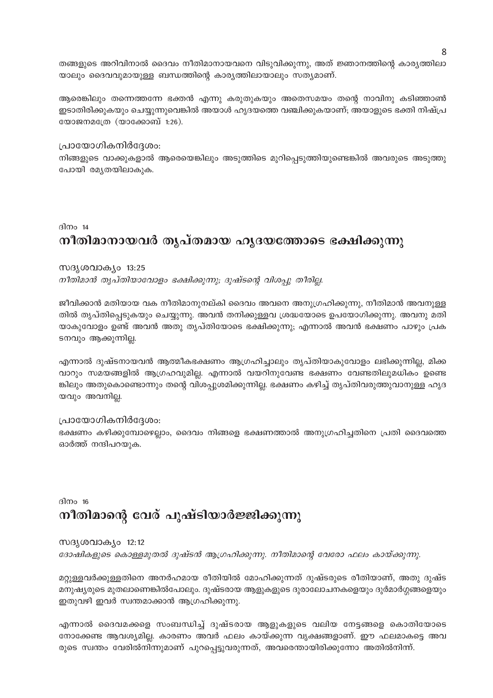തങ്ങളുടെ അറിവിനാൽ ദൈവം നീതിമാനായവനെ വിടുവിക്കുന്നു, അത് ജ്ഞാനത്തിന്റെ കാര്യത്തിലാ യാലും ദൈവവുമായുള്ള ബന്ധത്തിന്റെ കാര്യത്തിലായാലും സത്യമാണ്.

ആരെങ്കിലും തന്നെത്തന്നേ ഭക്തൻ എന്നു കരുതുകയും അതെസമയം തന്റെ നാവിനു കടിഞ്ഞാൺ ഇടാതിരിക്കുകയും ചെയ്യുന്നുവെങ്കിൽ അയാൾ ഹൃദയത്തെ വഞ്ചിക്കുകയാണ്; അയാളുടെ ഭക്തി നിഷ്പ്ര യോജനമത്രേ (യാക്കോബ് 1:26).

#### പ്രായോഗികനിർദ്ദേശം:

നിങ്ങളുടെ വാക്കുകളാൽ ആരെയെങ്കിലും അടുത്തിടെ മുറിപ്പെടുത്തിയുണ്ടെങ്കിൽ അവരുടെ അടുത്തു പോയി രമൃതയിലാകുക.

ദിനം  $14$ നീതിമാനായവർ തൃപ്തമായ ഹൃദയത്തോടെ ഭക്ഷിക്കുന്നു

#### സദൃശവാക്യം 13:25

നീതിമാൻ തൃപ്തിയാവോളം ഭക്ഷിക്കുന്നു; ദുഷ്ടന്റെ വിശപ്പു തീരില്ല.

ജീവിക്കാൻ മതിയായ വക നീതിമാനുനല്കി ദൈവം അവനെ അനുഗ്രഹിക്കുന്നു, നീതിമാൻ അവനുള്ള തിൽ തൃപ്തിപ്പെടുകയും ചെയ്യുന്നു. അവൻ തനിക്കുള്ളവ ശ്രദ്ധയോടെ ഉപയോഗിക്കുന്നു. അവനു മതി യാകുവോളം ഉണ്ട് അവൻ അതു തൃപ്തിയോടെ ഭക്ഷിക്കുന്നു; എന്നാൽ അവൻ ഭക്ഷണം പാഴും പ്രക ടനവും ആക്കുന്നില്ല.

എന്നാൽ ദുഷ്ടനായവൻ ആത്മീകഭക്ഷണം ആഗ്രഹിച്ചാലും തൃപ്തിയാകുവോളം ലഭിക്കുന്നില്ല, മിക്ക വാറും സമയങ്ങളിൽ ആഗ്രഹവുമില്ല. എന്നാൽ വയറിനുവേണ്ട ഭക്ഷണം വേണ്ടതിലുമധികം ഉണ്ടെ ങ്കിലും അതുകൊണ്ടൊന്നും തന്റെ വിശപ്പുശമിക്കുന്നില്ല. ഭക്ഷണം കഴിച്ച് തൃപ്തിവരുത്തുവാനുള്ള ഹൃദ യവും അവനില്ല.

#### പ്രായോഗികനിർദ്ദേശം:

ഭക്ഷണം കഴിക്കുമ്പോഴെല്ലാം, ദൈവം നിങ്ങളെ ഭക്ഷണത്താൽ അനുഗ്രഹിച്ചതിനെ പ്രതി ദൈവത്തെ ഓർത്ത് നന്ദിപറയുക.

# ദിനം  $16$ നീതിമാന്റെ വേര് പുഷ്ടിയാർജ്ജിക്കുന്നു

സദൃശവാകൃം 12:12

ദോഷികളുടെ കൊള്ളമുതൽ ദുഷ്ടൻ ആഗ്രഹിക്കുന്നു. നീതിമാന്റെ വേരോ ഫലം കായ്ക്കുന്നു.

മറ്റുള്ളവർക്കുള്ളതിനെ അനർഹമായ രീതിയിൽ മോഹിക്കുന്നത് ദുഷ്ടരുടെ രീതിയാണ്, അതു ദുഷ്ട മനുഷ്യരുടെ മുതലാണെങ്കിൽപോലും. ദുഷ്ടരായ ആളുകളുടെ ദുരാലോചനകളെയും ദുർമാർഗ്ഗങ്ങളെയും ഇതുവഴി ഇവർ സ്വന്തമാക്കാൻ ആഗ്രഹിക്കുന്നു.

എന്നാൽ ദൈവമക്കളെ സംബന്ധിച്ച് ദുഷ്ടരായ ആളുകളുടെ വലിയ നേട്ടങ്ങളെ കൊതിയോടെ നോക്കേണ്ട ആവശ്യമില്ല. കാരണം അവർ ഫലം കായ്ക്കുന്ന വൃക്ഷങ്ങളാണ്. ഈ ഫലമാകട്ടെ അവ രുടെ സ്വന്തം വേരിൽനിന്നുമാണ് പുറപ്പെട്ടുവരുന്നത്, അവരെന്തായിരിക്കുന്നോ അതിൽനിന്ന്.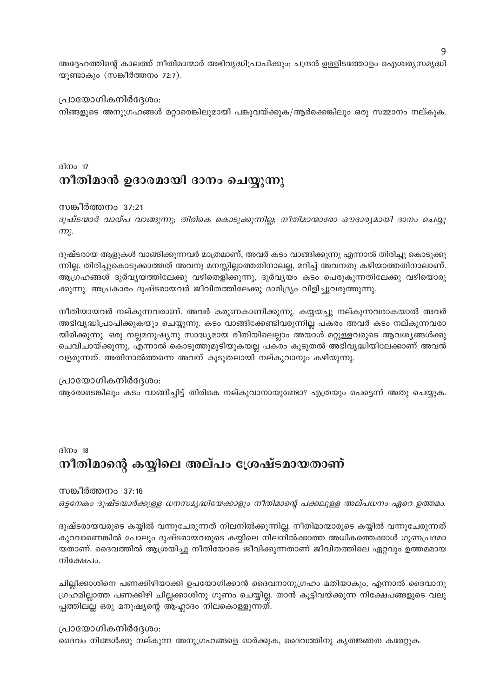അദ്ദേഹത്തിന്റെ കാലത്ത് നീതിമാന്മാർ അഭിവൃദ്ധിപ്രാപിക്കും; ചന്ദ്രൻ ഉള്ളിടത്തോളം ഐശ്വര്യസമൃദ്ധി യുണ്ടാകും (സങ്കീർത്തനം 72:7).

പ്രായോഗികനിർദ്ദേശം: നിങ്ങളുടെ അനുഗ്രഹങ്ങൾ മറ്റാരെങ്കിലുമായി പങ്കുവയ്ക്കുക/ആർക്കെങ്കിലും ഒരു സമ്മാനം നല്കുക.

# ദിനം  $17$ നീതിമാൻ ഉദാരമായി ദാനം ചെയ്യുന്നു

സങ്കീർത്തനം 37:21

ദുഷ്ടന്മാർ വായ്പ വാങ്ങുന്നു; തിരികെ കൊടുക്കുന്നില്ല; നീതിമാന്മാരോ ഔദാര്യമായി ദാനം ചെയ്യു  $m<sub>l</sub>$ .

ദുഷ്ടരായ ആളുകൾ വാങ്ങിക്കുന്നവർ മാത്രമാണ്, അവർ കടം വാങ്ങിക്കുന്നു എന്നാൽ തിരിച്ചു കൊടുക്കു ന്നില്ല. തിരിച്ചുകൊടുക്കാത്തത് അവനു മനസ്സില്ലാത്തതിനാലല്ല, മറിച്ച് അവനതു കഴിയാത്തതിനാലാണ്. ആഗ്രഹങ്ങൾ ദുർവ്യയത്തിലേക്കു വഴിതെളിക്കുന്നു, ദുർവ്യയം കടം പെരുകുന്നതിലേക്കു വഴിയൊരു ക്കുന്നു. അപ്രകാരം ദുഷ്ടരായവർ ജീവിതത്തിലേക്കു ദാരിദ്ര്യം വിളിച്ചുവരുത്തുന്നു.

നീതിയായവർ നല്കുന്നവരാണ്. അവർ കരുണകാണിക്കുന്നു. കയ്യയച്ചു നല്കുന്നവരാകയാൽ അവർ അഭിവൃദ്ധിപ്രാപിക്കുകയും ചെയ്യുന്നു. കടം വാങ്ങിക്കേണ്ടിവരുന്നില്ല പകരം അവർ കടം നല്കുന്നവരാ യിരിക്കുന്നു. ഒരു നല്ലമനുഷ്യനു സാദ്ധ്യമായ രീതിയിലെല്ലാം അയാൾ മറ്റുള്ളവരുടെ ആവശ്യങ്ങൾക്കു ചെവിചായ്ക്കുന്നു, എന്നാൽ കൊടുത്തുമുടിയുകയല്ല പകരം കൂടുതൽ അഭിവൃദ്ധിയിലേക്കാണ് അവൻ വളരുന്നത്. അതിനാൽത്തന്നെ അവന് കൂടുതലായി നല്കുവാനും കഴിയുന്നു.

#### പ്രായോഗികനിർദ്ദേശം:

ആരോടെങ്കിലും കടം വാങ്ങിച്ചിട്ട് തിരികെ നല്കുവാനായുണ്ടോ? എത്രയും പെട്ടെന്ന് അതു ചെയ്യുക.

ദിനം 18

# നീതിമാന്റെ കയ്യിലെ അല്പം ശ്രേഷ്ടമായതാണ്

#### സങ്കീർത്തനം 37:16

ഒട്ടനേകം ദുഷ്ടന്മാർക്കുള്ള ധനസമൃദ്ധിയേക്കാളും നീതിമാന്റെ പക്കലുള്ള അല്പധനം ഏറെ ഉത്തമം.

ദുഷ്ടരായവരുടെ കയ്യിൽ വന്നുചേരുന്നത് നിലനിൽക്കുന്നില്ല. നീതിമാന്മാരുടെ കയ്യിൽ വന്നുചേരുന്നത് കുറവാണെങ്കിൽ പോലും ദുഷ്ടരായവരുടെ കയ്യിലെ നിലനിൽക്കാത്ത അധികത്തെക്കാൾ ഗുണപ്രദമാ യതാണ്. ദൈവത്തിൽ ആശ്രയിച്ചു നീതിയോടെ ജീവിക്കുന്നതാണ് ജീവിതത്തിലെ ഏറ്റവും ഉത്തമമായ നിക്ഷേപം.

ചില്ലിക്കാശിനെ പണക്കിഴിയാക്കി ഉപയോഗിക്കാൻ ദൈവനാനുഗ്രഹം മതിയാകും, എന്നാൽ ദൈവാനു ഗ്രഹമില്ലാത്ത പണക്കിഴി ചില്ലക്കാശിനു ഗുണം ചെയ്യില്ല. താൻ കൂട്ടിവയ്ക്കുന്ന നിക്ഷേപങ്ങളുടെ വലു പ്പത്തിലല്ല ഒരു മനുഷ്യന്റെ ആഹ്ലാദം നിലകൊള്ളുന്നത്.

പ്രായോഗികനിർദ്ദേശം: ദൈവം നിങ്ങൾക്കു നല്കുന്ന അനുഗ്രഹങ്ങളെ ഓർക്കുക, ദൈവത്തിനു കൃതജ്ഞത കരേറ്റുക.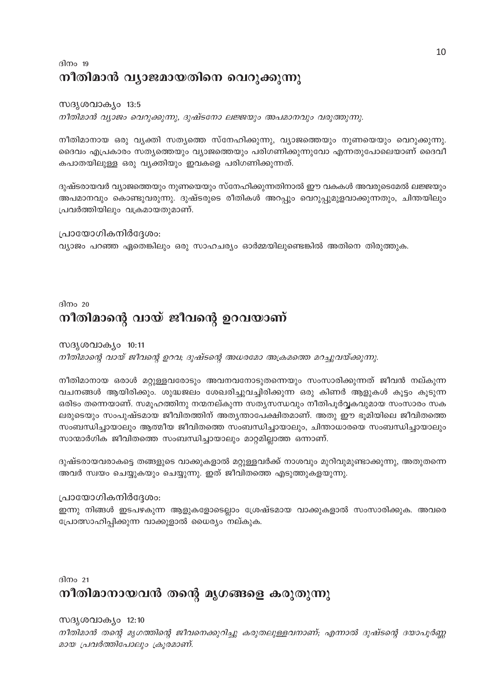# ദിനം 19 നീതിമാൻ വ്യാജമായതിനെ വെറുക്കുന്നു

#### സദൃശവാക്യം 13:5

നീതിമാൻ വ്യാജം വെറുക്കുന്നു, ദുഷ്ടനോ ലജ്ജയും അപമാനവും വരുത്തുന്നു.

നീതിമാനായ ഒരു വൃക്തി സതൃത്തെ സ്നേഹിക്കുന്നു, വ്യാജത്തെയും നുണയെയും വെറുക്കുന്നു. ദൈവം എപ്രകാരം സത്യത്തെയും വ്യാജത്തെയും പരിഗണിക്കുന്നുവോ എന്നതുപോലെയാണ് ദൈവീ കപാതയിലുള്ള ഒരു വ്യക്തിയും ഇവകളെ പരിഗണിക്കുന്നത്.

ദുഷ്ടരായവർ വ്യാജത്തെയും നുണയെയും സ്നേഹിക്കുന്നതിനാൽ ഈ വകകൾ അവരുടെമേൽ ലജ്ജയും അപമാനവും കൊണ്ടുവരുന്നു. ദുഷ്ടരുടെ രീതികൾ അറപ്പും വെറുപ്പുമുളവാക്കുന്നതും, ചിന്തയിലും പ്രവർത്തിയിലും വക്രമായതുമാണ്.

#### പ്രായോഗികനിർദ്ദേശം:

വ്യാജം പറഞ്ഞ ഏതെങ്കിലും ഒരു സാഹചര്യം ഓർമ്മയിലുണ്ടെങ്കിൽ അതിനെ തിരുത്തുക.

# ദിനം 20 നീതിമാന്റെ വായ് ജീവന്റെ <mark>ഉ</mark>റവയാണ്

#### സദൃശവാക്യം 10:11 നീതിമാന്റെ വായ് ജീവന്റെ ഉറവ; ദുഷ്ടന്റെ അധരമോ അക്രമത്തെ മറച്ചുവയ്ക്കുന്നു.

നീതിമാനായ ഒരാൾ മറ്റുള്ളവരോടും അവനവനോടുതന്നെയും സംസാരിക്കുന്നത് ജീവൻ നല്കുന്ന വചനങ്ങൾ ആയിരിക്കും. ശുദ്ധജലം ശേഖരിച്ചുവച്ചിരിക്കുന്ന ഒരു കിണർ ആളുകൾ കൂട്ടം കൂടുന്ന ഒരിടം തന്നെയാണ്. സമൂഹത്തിനു നന്മനല്കുന്ന സത്യസന്ധവും നീതിപൂർവ്വകവുമായ സംസാരം സക ലരുടെയും സംപുഷ്ടമായ ജീവിതത്തിന് അതൃന്താപേക്ഷിതമാണ്. അതു ഈ ഭൂമിയിലെ ജീവിതത്തെ സംബന്ധിച്ചായാലും ആത്മീയ ജീവിതത്തെ സംബന്ധിച്ചായാലും, ചിന്താധാരയെ സംബന്ധിച്ചായാലും സാന്മാർഗിക ജീവിതത്തെ സംബന്ധിച്ചായാലും മാറ്റമില്ലാത്ത ഒന്നാണ്.

ദുഷ്ടരായവരാകട്ടെ തങ്ങളുടെ വാക്കുകളാൽ മറ്റുള്ളവർക്ക് നാശവും മുറിവുമുണ്ടാക്കുന്നു, അതുതന്നെ അവർ സ്വയം ചെയ്യുകയും ചെയ്യുന്നു. ഇത് ജീവിതത്തെ എടുത്തുകളയുന്നു.

#### പ്രായോഗികനിർദ്ദേശം:

ഇന്നു നിങ്ങൾ ഇടപഴകുന്ന ആളുകളോടെല്ലാം ശ്രേഷ്ടമായ വാക്കുകളാൽ സംസാരിക്കുക. അവരെ പ്രോത്സാഹിപ്പിക്കുന്ന വാക്കുളാൽ ധൈര്യം നല്കുക.

ദിനം  $21$ 

# നീതിമാനായവൻ തന്റെ മൃഗങ്ങളെ കരുതുന്നു

#### സദൃശവാകൃം 12:10

നീതിമാൻ തന്റെ മൃഗത്തിന്റെ ജീവനെക്കുറിച്ചു കരുതലുള്ളവനാണ്; എന്നാൽ ദുഷ്ടന്റെ ദയാപൂർണ്ണ മായ പ്രവർത്തിപോലും ക്രൂരമാണ്.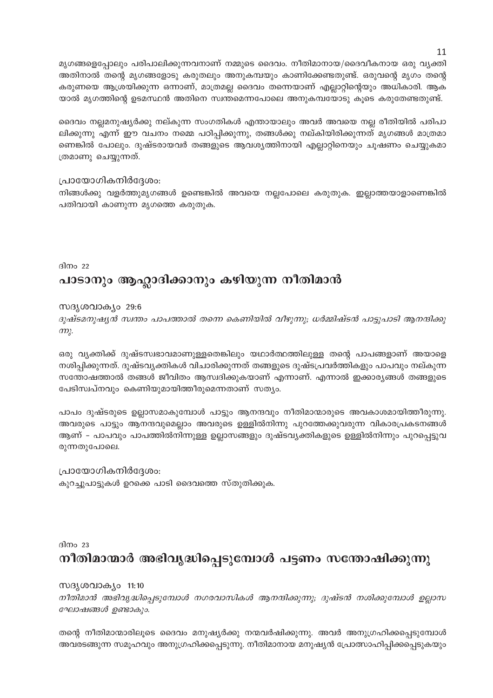മൃഗങ്ങളെപ്പോലും പരിപാലിക്കുന്നവനാണ് നമ്മുടെ ദൈവം. നീതിമാനായ/ദൈവീകനായ ഒരു വ്യക്തി അതിനാൽ തന്റെ മൃഗങ്ങളോടു കരുതലും അനുകമ്പയും കാണിക്കേണ്ടതുണ്ട്. ഒരുവന്റെ മൃഗം തന്റെ കരുണയെ ആശ്രയിക്കുന്ന ഒന്നാണ്, മാത്രമല്ല ദൈവം തന്നെയാണ് എല്ലാറ്റിന്റെയും അധികാരി. ആക യാൽ മൃഗത്തിന്റെ ഉടമസ്ഥൻ അതിനെ സ്വന്തമെന്നപോലെ അനുകമ്പയോടു കൂടെ കരുതേണ്ടതുണ്ട്.

ദൈവം നല്ലമനുഷ്യർക്കു നല്കുന്ന സംഗതികൾ എന്തായാലും അവർ അവയെ നല്ല രീതിയിൽ പരിപാ ലിക്കുന്നു എന്ന് ഈ വചനം നമ്മെ പഠിപ്പിക്കുന്നു, തങ്ങൾക്കു നല്കിയിരിക്കുന്നത് മൃഗങ്ങൾ മാത്രമാ ണെങ്കിൽ പോലും. ദുഷ്ടരായവർ തങ്ങളുടെ ആവശ്യത്തിനായി എല്ലാറ്റിനെയും ചൂഷണം ചെയ്യുകമാ ത്രമാണു ചെയ്യുന്നത്.

#### പ്രായോഗികനിർദ്ദേശം:

നിങ്ങൾക്കു വളർത്തുമൃഗങ്ങൾ ഉണ്ടെങ്കിൽ അവയെ നല്ലപോലെ കരുതുക. ഇല്ലാത്തയാളാണെങ്കിൽ പതിവായി കാണുന്ന മൃഗത്തെ കരുതുക.

ദിനം 22

# പാടാനും ആഹ്ലാദിക്കാനും കഴിയുന്ന നീതിമാൻ

സദൃശവാക്യം 29:6

ദുഷ്ടമനുഷ്യൻ സ്ഥതം പാപത്താൽ തന്നെ കെണിയിൽ വീഴുന്നു; ധർമ്മിഷ്ടൻ പാട്ടുപാടി ആനന്ദിക്കു  $m<sub>k</sub>$ .

ഒരു വൃക്തിക്ക് ദുഷ്ടസ്വഭാവമാണുള്ളതെങ്കിലും യഥാർത്ഥത്തിലുള്ള തന്റെ പാപങ്ങളാണ് അയാളെ നശിപ്പിക്കുന്നത്. ദുഷ്ടവൃക്തികൾ വിചാരിക്കുന്നത് തങ്ങളുടെ ദുഷ്ടപ്രവർത്തികളും പാപവും നല്കുന്ന സന്തോഷത്താൽ തങ്ങൾ ജീവിതം ആസ്വദിക്കുകയാണ് എന്നാണ്. എന്നാൽ ഇക്കാര്യങ്ങൾ തങ്ങളുടെ പേടിസ്വപ്നവും കെണിയുമായിത്തീരുമെന്നതാണ് സത്യം.

പാപം ദുഷ്ടരുടെ ഉല്ലാസമാകുമ്പോൾ പാട്ടും ആനന്ദവും നീതിമാന്മാരുടെ അവകാശമായിത്തീരുന്നു. അവരുടെ പാട്ടും ആനന്ദവുമെല്ലാം അവരുടെ ഉള്ളിൽനിന്നു പുറത്തേക്കുവരുന്ന വികാരപ്രകടനങ്ങൾ ആണ് – പാപവും പാപത്തിൽനിന്നുള്ള ഉല്ലാസങ്ങളും ദുഷ്ടവ്യക്തികളുടെ ഉള്ളിൽനിന്നും പുറപ്പെട്ടുവ രുന്നതുപോലെ.

പ്രായോഗികനിർദ്ദേശം: കുറച്ചുപാട്ടുകൾ ഉറക്കെ പാടി ദൈവത്തെ സ്തുതിക്കുക.

ദിനം 23

# നീതിമാന്മാർ അഭിവൃദ്ധിപ്പെടുമ്പോൾ പട്ടണം സന്തോഷിക്കുന്നു

സദൃശവാക്യം 11:10

നീതിമാൻ അഭിവൃദ്ധിപ്പെടുമ്പോൾ നഗരവാസികൾ ആനന്ദിക്കുന്നു; ദുഷ്ടൻ നശിക്കുമ്പോൾ ഉല്ലാസ ഘോഷങ്ങൾ ഉണ്ടാകും.

തന്റെ നീതിമാന്മാരിലൂടെ ദൈവം മനുഷ്യർക്കു നന്മവർഷിക്കുന്നു. അവർ അനുഗ്രഹിക്കപ്പെടുമ്പോൾ അവരടങ്ങുന്ന സമൂഹവും അനുഗ്രഹിക്കപ്പെടുന്നു. നീതിമാനായ മനുഷ്യൻ പ്രോത്സാഹിപ്പിക്കപ്പെടുകയും

11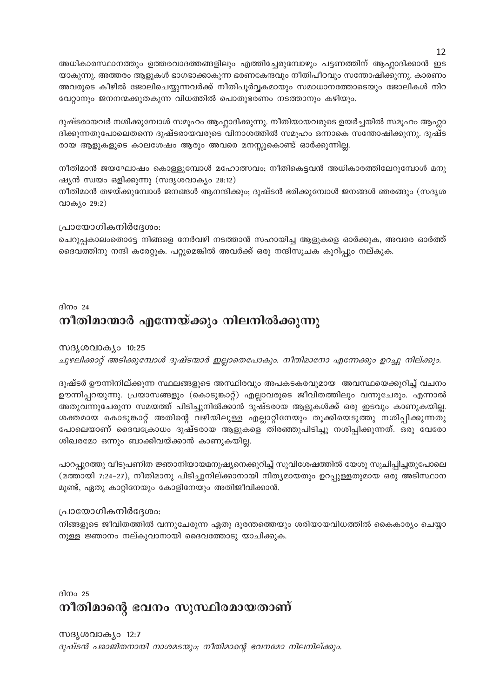അധികാരസ്ഥാനത്തും ഉത്തരവാദത്തങ്ങളിലും എത്തിച്ചേരുമ്പോഴും പട്ടണത്തിന് ആഹ്ലാദിക്കാൻ ഇട യാകുന്നു. അത്തരം ആളുകൾ ഭാഗഭാക്കാകുന്ന ഭരണകേന്ദവും നീതിപീഠവും സന്തോഷിക്കുന്നു. കാരണം അവരുടെ കീഴിൽ ജോലിചെയ്യുന്നവർക്ക് നീതിപൂർവ്വകമായും സമാധാനത്തോടെയും ജോലികൾ നിറ വേറ്റാനും ജനനന്മക്കുതകുന്ന വിധത്തിൽ പൊതുഭരണം നടത്താനും കഴിയും.

ദുഷ്ടരായവർ നശിക്കുമ്പോൾ സമൂഹം ആഹ്ലാദിക്കുന്നു. നീതിയായവരുടെ ഉയർച്ചയിൽ സമൂഹം ആഹ്ലാ ദിക്കുന്നതുപോലെതന്നെ ദുഷ്ടരായവരുടെ വിനാശത്തിൽ സമൂഹം ഒന്നാകെ സന്തോഷിക്കുന്നു. ദുഷ്ട രായ ആളുകളുടെ കാലശേഷം ആരും അവരെ മനസ്സുകൊണ്ട് ഓർക്കുന്നില്ല.

നീതിമാൻ ജയഘോഷം കൊള്ളുമ്പോൾ മഹോത്സവം; നീതികെട്ടവൻ അധികാരത്തിലേറുമ്പോൾ മനു ഷ്യൻ സ്വയം ഒളിക്കുന്നു (സദൃശവാക്യം 28:12)

നീതിമാൻ തഴയ്ക്കുമ്പോൾ ജനങ്ങൾ ആനന്ദിക്കും; ദുഷ്ടൻ ഭരിക്കുമ്പോൾ ജനങ്ങൾ ഞരങ്ങും (സദൃശ വാക്യം 29:2)

#### പ്രായോഗികനിർദ്ദേശം:

ചെറുപ്പകാലംതൊട്ടേ നിങ്ങളെ നേർവഴി നടത്താൻ സഹായിച്ച ആളുകളെ ഓർക്കുക, അവരെ ഓർത്ത് ദൈവത്തിനു നന്ദി കരേറ്റുക. പറ്റുമെങ്കിൽ അവർക്ക് ഒരു നന്ദിസൂചക കുറിപ്പും നല്കുക.

### ദിനം 24 നീതിമാന്മാർ എന്നേയ്ക്കും നിലനിൽക്കുന്നു

#### സദൃശവാക്യം 10:25

ചുഴലിക്കാറ്റ് അടിക്കുമ്പോൾ ദുഷ്ടന്മാർ ഇല്ലാതെപോകും. നീതിമാനോ എന്നേക്കും ഉറച്ചു നില്ക്കും.

ദുഷ്ടർ ഊന്നിനില്ക്കുന്ന സ്ഥലങ്ങളുടെ അസ്ഥിരവും അപകടകരവുമായ അവസ്ഥയെക്കുറിച്ച് വചനം ഊന്നിപ്പറയുന്നു. പ്രയാസങ്ങളും (കൊടുങ്കാറ്റ്) എല്ലാവരുടെ ജീവിതത്തിലും വന്നുചേരും. എന്നാൽ അതുവന്നുചേരുന്ന സമയത്ത് പിടിച്ചുനിൽക്കാൻ ദുഷ്ടരായ ആളുകൾക്ക് ഒരു ഇടവും കാണുകയില്ല. ശക്തമായ കൊടുങ്കാറ്റ് അതിന്റെ വഴിയിലുള്ള എല്ലാറ്റിനേയും തൂക്കിയെടുത്തു നശിപ്പിക്കുന്നതു പോലെയാണ് ദൈവക്രോധം ദുഷ്ടരായ ആളുകളെ തിരഞ്ഞുപിടിച്ചു നശിപ്പിക്കുന്നത്. ഒരു വേരോ ശിഖരമോ ഒന്നും ബാക്കിവയ്ക്കാൻ കാണുകയില്ല.

പാറപ്പുറത്തു വീടുപണിത ജ്ഞാനിയായമനുഷ്യനെക്കുറിച്ച് സുവിശേഷത്തിൽ യേശു സൂചിപ്പിച്ചതുപോലെ (മത്തായി 7:24–27), നീതിമാനു പിടിച്ചുനില്ക്കാനായി നിത്യമായതും ഉറപ്പുള്ളതുമായ ഒരു അടിസ്ഥാന മുണ്ട്, ഏതു കാറ്റിനേയും കോളിനേയും അതിജീവിക്കാൻ.

#### പ്രായോഗികനിർദ്ദേശം:

നിങ്ങളുടെ ജീവിതത്തിൽ വന്നുചേരുന്ന ഏതു ദുരന്തത്തെയും ശരിയായവിധത്തിൽ കൈകാര്യം ചെയ്യാ നുള്ള ജ്ഞാനം നല്കുവാനായി ദൈവത്തോടു യാചിക്കുക.

ദിനം 25

# നീതിമാന്റെ ഭവനം സുസ്ഥിരമായതാണ്

സദൃശവാക്യം 12:7 ദുഷ്ടൻ പരാജിതനായി നാശമടയും; നീതിമാന്റെ ഭവനമോ നിലനില്ക്കും. 12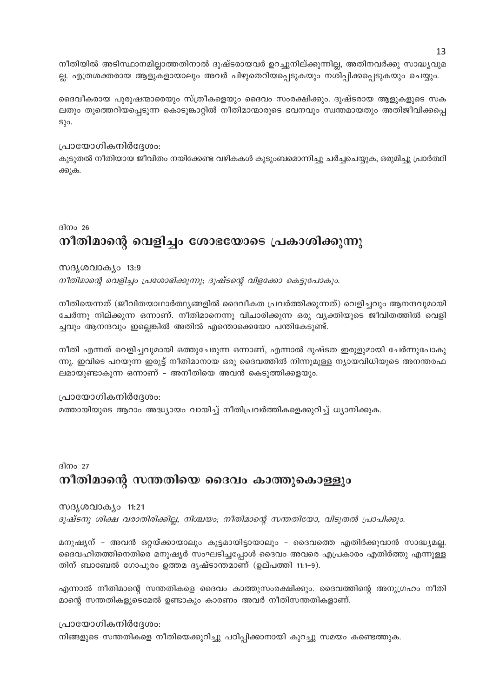നീതിയിൽ അടിസ്ഥാനമില്ലാത്തതിനാൽ ദുഷ്ടരായവർ ഉറച്ചുനില്ക്കുന്നില്ല, അതിനവർക്കു സാദ്ധ്യവുമ ല്ല. എത്രശക്തരായ ആളുകളായാലും അവർ പിഴുതെറിയപ്പെടുകയും നശിപ്പിക്കപ്പെടുകയും ചെയ്യും.

ദൈവീകരായ പുരുഷന്മാരെയും സ്ത്രീകളെയും ദൈവം സംരക്ഷിക്കും. ദുഷ്ടരായ ആളുകളുടെ സക ലതും തൂത്തെറിയപ്പെടുന്ന കൊടുങ്കാറ്റിൽ നീതിമാന്മാരുടെ ഭവനവും സ്വന്തമായതും അതിജീവിക്കപ്പെ  $S_{\alpha}$ o.

#### പ്രായോഗികനിർദ്ദേശം:

കൂടുതൽ നീതിയായ ജീവിതം നയിക്കേണ്ട വഴികകൾ കുടുംബമൊന്നിച്ചു ചർച്ചചെയ്യുക, ഒരുമിച്ചു പ്രാർത്ഥി ക്കുക.

ദിനം 26

# നീതിമാന്റെ വെളിച്ചം ശോഭയോടെ പ്രകാശിക്കുന്നു

#### സദൃശവാക്യം 13:9

നീതിമാന്റെ വെളിച്ചം പ്രശോഭിക്കുന്നു; ദുഷ്ടന്റെ വിളക്കോ കെട്ടുപോകും.

നീതിയെന്നത് (ജീവിതയാഥാർത്ഥ്യങ്ങളിൽ ദൈവീകത പ്രവർത്തിക്കുന്നത്) വെളിച്ചവും ആനന്ദവുമായി ചേർന്നു നില്ക്കുന്ന ഒന്നാണ്. നീതിമാനെന്നു വിചാരിക്കുന്ന ഒരു വ്യക്തിയുടെ ജീവിതത്തിൽ വെളി ച്ചവും ആനന്ദവും ഇല്ലെങ്കിൽ അതിൽ എന്തൊക്കെയോ പന്തികേടുണ്ട്.

നീതി എന്നത് വെളിച്ചവുമായി ഒത്തുചേരുന്ന ഒന്നാണ്, എന്നാൽ ദുഷ്ടത ഇരുളുമായി ചേർന്നുപോകു ന്നു. ഇവിടെ പറയുന്ന ഇരുട്ട് നീതിമാനായ ഒരു ദൈവത്തിൽ നിന്നുമുള്ള ന്യായവിധിയുടെ അനന്തരഫ ലമായുണ്ടാകുന്ന ഒന്നാണ് – അനീതിയെ അവൻ കെടുത്തിക്കളയും.

പ്രായോഗികനിർദ്ദേശം:

മത്തായിയുടെ ആറാം അദ്ധ്യായം വായിച്ച് നീതിപ്രവർത്തികളെക്കുറിച്ച് ധ്യാനിക്കുക.

ദിനം 27 നീതിമാന്റെ സന്തതിയെ ദൈവം കാത്തുകൊള്ളും

#### സദൃശവാക്യം 11:21

ദുഷ്ടനു ശിക്ഷ വരാതിരിക്കില്ല, നിശ്ചയം; നീതിമാന്റെ സന്തതിയോ, വിടുതൽ പ്രാപിക്കും.

മനുഷ്യന് - അവൻ ഒറ്റയ്ക്കായാലും കൂട്ടമായിട്ടായാലും - ദൈവത്തെ എതിർക്കുവാൻ സാദ്ധ്യമല്ല. ദൈവഹിതത്തിനെതിരെ മനുഷ്യർ സംഘടിച്ചപ്പോൾ ദൈവം അവരെ എപ്രകാരം എതിർത്തു എന്നുള്ള തിന് ബാബേൽ ഗോപുരം ഉത്തമ ദൃഷ്ടാന്തമാണ് (ഉല്പത്തി 11:1-9).

എന്നാൽ നീതിമാന്റെ സന്തതികളെ ദൈവം കാത്തുസംരക്ഷിക്കും. ദൈവത്തിന്റെ അനുഗ്രഹം നീതി മാന്റെ സന്തതികളുടെമേൽ ഉണ്ടാകും കാരണം അവർ നീതിസന്തതികളാണ്.

പ്രായോഗികനിർദ്ദേശം:

നിങ്ങളുടെ സന്തതികളെ നീതിയെക്കുറിച്ചു പഠിപ്പിക്കാനായി കുറച്ചു സമയം കണ്ടെത്തുക.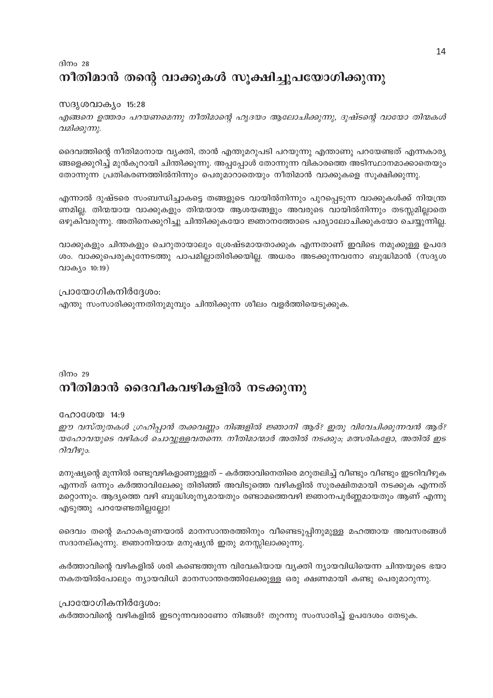# ദിനം 28 നീതിമാൻ തന്റെ വാക്കുകൾ സൂക്ഷിച്ചുപയോഗിക്കുന്നു

#### സദൃശവാക്യം 15:28

എങ്ങനെ ഉത്തരം പറയണമെന്നു നീതിമാന്റെ ഹൃദയം ആലോചിക്കുന്നു, ദുഷ്ടന്റെ വായോ തിന്മകൾ വമിക്കുന്നു.

ദൈവത്തിന്റെ നീതിമാനായ വ്യക്തി, താൻ എന്തുമറുപടി പറയുന്നു എന്താണു പറയേണ്ടത് എന്നകാര്യ ങ്ങളെക്കുറിച്ച് മുൻകൂറായി ചിന്തിക്കുന്നു. അപ്പപ്പോൾ തോന്നുന്ന വികാരത്തെ അടിസ്ഥാനമാക്കാതെയും തോന്നുന്ന പ്രതികരണത്തിൽനിന്നും പെരുമാറാതെയും നീതിമാൻ വാക്കുകളെ സൂക്ഷിക്കുന്നു.

എന്നാൽ ദുഷ്ടരെ സംബന്ധിച്ചാകട്ടെ തങ്ങളുടെ വായിൽനിന്നും പുറപ്പെടുന്ന വാക്കുകൾക്ക് നിയന്ത്ര ണമില്ല. തിന്മയായ വാക്കുകളും തിന്മയായ ആശയങ്ങളും അവരുടെ വായിൽനിന്നും തടസ്സമില്ലാതെ ഒഴുകിവരുന്നു. അതിനെക്കുറിച്ചു ചിന്തിക്കുകയോ ജ്ഞാനത്തോടെ പര്യാലോചിക്കുകയോ ചെയ്യുന്നില്ല.

വാക്കുകളും ചിന്തകളും ചെറുതായാലും ശ്രേഷ്ടമായതാക്കുക എന്നതാണ് ഇവിടെ നമുക്കുള്ള ഉപദേ ശം. വാക്കുപെരുകുന്നേടത്തു പാപമില്ലാതിരിക്കയില്ല. അധരം അടക്കുന്നവനോ ബുദ്ധിമാൻ (സദൃശ വാക്യം 10:19)

#### പ്രായോഗികനിർദ്ദേശം:

എന്തു സംസാരിക്കുന്നതിനുമുമ്പും ചിന്തിക്കുന്ന ശീലം വളർത്തിയെടുക്കുക.

#### ദിനം 29

# നീതിമാൻ ദൈവീകവഴികളിൽ നടക്കുന്നു

#### ഹോശേയ 14:9

ഈ വസ്തുതകൾ ഗ്രഹിപ്പാൻ തക്കവണ്ണം നിങ്ങളിൽ ജ്ഞാനി ആര്? ഇതു വിവേചിക്കുന്നവൻ ആര്? യഹോവയുടെ വഴികൾ ചൊവ്വുള്ളവതന്നെ. നീതിമാന്മാർ അതിൽ നടക്കും; മത്സരികളോ, അതിൽ ഇട റിവീഴും.

മനുഷ്യന്റെ മുന്നിൽ രണ്ടുവഴികളാണുള്ളത് – കർത്താവിനെതിരെ മറുതലിച്ച് വീണ്ടും വീണ്ടും ഇടറിവീഴുക എന്നത് ഒന്നും കർത്താവിലേക്കു തിരിഞ്ഞ് അവിടുത്തെ വഴികളിൽ സുരക്ഷിതമായി നടക്കുക എന്നത് മറ്റൊന്നും. ആദ്യത്തെ വഴി ബുദ്ധിശൂന്യമായതും രണ്ടാമത്തെവഴി ജ്ഞാനപൂർണ്ണമായതും ആണ് എന്നു എടുത്തു പറയേണ്ടതില്ലല്ലോ!

ദൈവം തന്റെ മഹാകരുണയാൽ മാനസാന്തരത്തിനും വീണ്ടെടുപ്പിനുമുള്ള മഹത്തായ അവസരങ്ങൾ സദാനല്കുന്നു. ജ്ഞാനിയായ മനുഷ്യൻ ഇതു മനസ്സിലാക്കുന്നു.

കർത്താവിന്റെ വഴികളിൽ ശരി കണ്ടെത്തുന്ന വിവേകിയായ വ്യക്തി ന്യായവിധിയെന്ന ചിന്തയുടെ ഭയാ നകതയിൽപോലും ന്യായവിധി മാനസാന്തരത്തിലേക്കുള്ള ഒരു ക്ഷണമായി കണ്ടു പെരുമാറുന്നു.

#### പ്രായോഗികനിർദ്ദേശം:

കർത്താവിന്റെ വഴികളിൽ ഇടറുന്നവരാണോ നിങ്ങൾ? തുറന്നു സംസാരിച്ച് ഉപദേശം തേടുക.